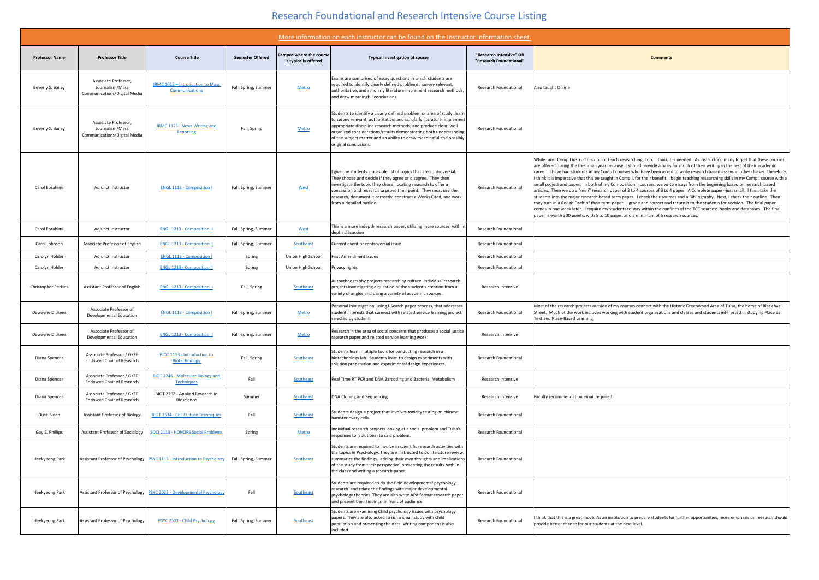## Research Foundational and Research Intensive Course Listing

|                            |                                                                                |                                                                            |                         |                                                 | More information on each instructor can be found on the Instructor Information sheet.                                                                                                                                                                                                                                                                                                        |                                                    |                                                                                                                                                                                                                                                                                                                                                                                                                                                                                                                                                                                                                                                                                                                                                                                                                                                                                                                                                                                                                                                                                                                                                                                                                                                                                                                  |
|----------------------------|--------------------------------------------------------------------------------|----------------------------------------------------------------------------|-------------------------|-------------------------------------------------|----------------------------------------------------------------------------------------------------------------------------------------------------------------------------------------------------------------------------------------------------------------------------------------------------------------------------------------------------------------------------------------------|----------------------------------------------------|------------------------------------------------------------------------------------------------------------------------------------------------------------------------------------------------------------------------------------------------------------------------------------------------------------------------------------------------------------------------------------------------------------------------------------------------------------------------------------------------------------------------------------------------------------------------------------------------------------------------------------------------------------------------------------------------------------------------------------------------------------------------------------------------------------------------------------------------------------------------------------------------------------------------------------------------------------------------------------------------------------------------------------------------------------------------------------------------------------------------------------------------------------------------------------------------------------------------------------------------------------------------------------------------------------------|
| <b>Professor Name</b>      | <b>Professor Title</b>                                                         | <b>Course Title</b>                                                        | <b>Semester Offered</b> | Campus where the course<br>is typically offered | <b>Typical Investigation of course</b>                                                                                                                                                                                                                                                                                                                                                       | "Research Intensive" OR<br>"Research Foundational" | <b>Comments</b>                                                                                                                                                                                                                                                                                                                                                                                                                                                                                                                                                                                                                                                                                                                                                                                                                                                                                                                                                                                                                                                                                                                                                                                                                                                                                                  |
| Beverly S. Bailey          | Associate Professor,<br>Journalism/Mass<br><b>Communications/Digital Media</b> | JRMC 1013 - Introduction to Mass<br>Communications                         | Fall, Spring, Summer    | Metro                                           | Exams are comprised of essay questions in which students are<br>required to identify clearly defined problems, survey relevant,<br>authoritative, and scholarly literature implement research methods,<br>and draw meaningful conclusions.                                                                                                                                                   | <b>Research Foundational</b>                       | Also taught Online                                                                                                                                                                                                                                                                                                                                                                                                                                                                                                                                                                                                                                                                                                                                                                                                                                                                                                                                                                                                                                                                                                                                                                                                                                                                                               |
| Beverly S. Bailey          | Associate Professor,<br>Journalism/Mass<br><b>Communications/Digital Media</b> | JRMC 1123 - News Writing and<br>Reporting                                  | Fall, Spring            | Metro                                           | Students to identify a clearly defined problem or area of study, learn<br>  to survey relevant, authoritative, and scholarly literature, implement<br>appropriate discipline research methods, and produce clear, well<br>organized considerations/results demonstrating both understanding<br>of the subject matter and an ability to draw meaningful and possibly<br>original conclusions. | <b>Research Foundational</b>                       |                                                                                                                                                                                                                                                                                                                                                                                                                                                                                                                                                                                                                                                                                                                                                                                                                                                                                                                                                                                                                                                                                                                                                                                                                                                                                                                  |
| Carol Ebrahimi             | Adjunct Instructor                                                             | <b>ENGL 1113 - Composition I</b>                                           | Fall, Spring, Summer    | West                                            | I give the students a possible list of topics that are controversial.<br>They choose and decide if they agree or disagree. They then<br>investigate the topic they chose, locating research to offer a<br>concession and research to prove their point. They must use the<br>research, document it correctly, construct a Works Cited, and work<br>from a detailed outline.                  | <b>Research Foundational</b>                       | While most Comp I instructors do not teach researching, I do. I think it is needed. As instructors, many forget that these courses<br>are offered during the freshman year because it should provide a basis for much of their writing in the rest of their academic<br>career. I have had students in my Comp I courses who have been asked to write research based essays in other classes; therefore,<br>I think it is imperative that this be taught in Comp I, for their benefit. I begin teaching researching skills in my Comp I course with a<br>small project and paper. In both of my Composition II courses, we write essays from the beginning based on research based<br>articles. Then we do a "mini" research paper of 3 to 4 sources of 3 to 4 pages. A Complete paper--just small. I then take the<br>students into the major research based term paper. I check their sources and a Bibliography. Next, I check their outline. Then<br>they turn in a Rough Draft of their term paper. I grade and correct and return it to the students for revision. The final paper<br>comes in one week later. I require my students to stay within the confines of the TCC sources: books and databases. The final<br>paper is worth 300 points, with 5 to 10 pages, and a minimum of 5 research sources. |
| Carol Ebrahimi             | Adjunct Instructor                                                             | <b>ENGL 1213 - Composition II</b>                                          | Fall, Spring, Summer    | West                                            | This is a more indepth research paper, utilizing more sources, with in<br>depth discussion                                                                                                                                                                                                                                                                                                   | <b>Research Foundational</b>                       |                                                                                                                                                                                                                                                                                                                                                                                                                                                                                                                                                                                                                                                                                                                                                                                                                                                                                                                                                                                                                                                                                                                                                                                                                                                                                                                  |
| Carol Johnson              | Associate Professor of English                                                 | <b>ENGL 1213 - Composition II</b>                                          | Fall, Spring, Summer    | Southeast                                       | Current event or controversial issue                                                                                                                                                                                                                                                                                                                                                         | <b>Research Foundational</b>                       |                                                                                                                                                                                                                                                                                                                                                                                                                                                                                                                                                                                                                                                                                                                                                                                                                                                                                                                                                                                                                                                                                                                                                                                                                                                                                                                  |
| Carolyn Holder             | Adjunct Instructor                                                             | <b>ENGL 1113 - Composition I</b>                                           | Spring                  | Union High School                               | First Amendment Issues                                                                                                                                                                                                                                                                                                                                                                       | <b>Research Foundational</b>                       |                                                                                                                                                                                                                                                                                                                                                                                                                                                                                                                                                                                                                                                                                                                                                                                                                                                                                                                                                                                                                                                                                                                                                                                                                                                                                                                  |
| Carolyn Holder             | Adjunct Instructor                                                             | <b>ENGL 1213 - Composition II</b>                                          | Spring                  | Union High School                               | Privacy rights                                                                                                                                                                                                                                                                                                                                                                               | <b>Research Foundational</b>                       |                                                                                                                                                                                                                                                                                                                                                                                                                                                                                                                                                                                                                                                                                                                                                                                                                                                                                                                                                                                                                                                                                                                                                                                                                                                                                                                  |
| <b>Christopher Perkins</b> | <b>Assistant Professor of English</b>                                          | <b>ENGL 1213 - Composition II</b>                                          | Fall, Spring            | Southeast                                       | Autoethnography projects researching culture. Individual research<br>projects investigating a question of the student's creation from a<br>variety of angles and using a variety of academic sources.                                                                                                                                                                                        | Research Intensive                                 |                                                                                                                                                                                                                                                                                                                                                                                                                                                                                                                                                                                                                                                                                                                                                                                                                                                                                                                                                                                                                                                                                                                                                                                                                                                                                                                  |
| Dewayne Dickens            | Associate Professor of<br>Developmental Education                              | <b>ENGL 1113 - Composition I</b>                                           | Fall, Spring, Summer    | Metro                                           | Personal investigation, using I-Search paper process, that addresses<br>student interests that connect with related service learning project<br>selected by student                                                                                                                                                                                                                          | <b>Research Foundational</b>                       | Most of the research projects outside of my courses connect with the Historic Greenwood Area of Tulsa, the home of Black Wall<br>Street. Much of the work includes working with student organizations and classes and students interested in studying Place as<br>Text and Place-Based Learning.                                                                                                                                                                                                                                                                                                                                                                                                                                                                                                                                                                                                                                                                                                                                                                                                                                                                                                                                                                                                                 |
| Dewayne Dickens            | Associate Professor of<br>Developmental Education                              | <b>ENGL 1213 - Composition II</b>                                          | Fall, Spring, Summer    | Metro                                           | Research in the area of social concerns that produces a social justice<br>research paper and related service learning work                                                                                                                                                                                                                                                                   | Research Intensive                                 |                                                                                                                                                                                                                                                                                                                                                                                                                                                                                                                                                                                                                                                                                                                                                                                                                                                                                                                                                                                                                                                                                                                                                                                                                                                                                                                  |
| Diana Spencer              | Associate Professor / GKFF<br><b>Endowed Chair of Research</b>                 | <b>BIOT 1113 - Introduction to</b><br><b>Biotechnology</b>                 | Fall, Spring            | Southeast                                       | Students learn multiple tools for conducting research in a<br>biotechnology lab. Students learn to design experiments with<br>solution preparation and experimental design experiences.                                                                                                                                                                                                      | <b>Research Foundational</b>                       |                                                                                                                                                                                                                                                                                                                                                                                                                                                                                                                                                                                                                                                                                                                                                                                                                                                                                                                                                                                                                                                                                                                                                                                                                                                                                                                  |
| Diana Spencer              | Associate Professor / GKFF<br><b>Endowed Chair of Research</b>                 | <b>BIOT 2246 - Molecular Biology and</b><br><b>Techniques</b>              | Fall                    | Southeast                                       | Real Time RT PCR and DNA Barcoding and Bacterial Metabolism                                                                                                                                                                                                                                                                                                                                  | Research Intensive                                 |                                                                                                                                                                                                                                                                                                                                                                                                                                                                                                                                                                                                                                                                                                                                                                                                                                                                                                                                                                                                                                                                                                                                                                                                                                                                                                                  |
| Diana Spencer              | Associate Professor / GKFF<br><b>Endowed Chair of Research</b>                 | BIOT 2292 - Applied Research in<br>Bioscience                              | Summer                  | Southeast                                       | DNA Cloning and Sequencing                                                                                                                                                                                                                                                                                                                                                                   | Research Intensive                                 | Faculty recommendation email required                                                                                                                                                                                                                                                                                                                                                                                                                                                                                                                                                                                                                                                                                                                                                                                                                                                                                                                                                                                                                                                                                                                                                                                                                                                                            |
| Dusti Sloan                | <b>Assistant Professor of Biology</b>                                          | <b>BIOT 1534 - Cell Culture Techniques</b>                                 | Fall                    | Southeast                                       | Students design a project that involves toxicity testing on chinese<br>hamster ovary cells.                                                                                                                                                                                                                                                                                                  | <b>Research Foundational</b>                       |                                                                                                                                                                                                                                                                                                                                                                                                                                                                                                                                                                                                                                                                                                                                                                                                                                                                                                                                                                                                                                                                                                                                                                                                                                                                                                                  |
| Gay E. Phillips            | <b>Assistant Professor of Sociology</b>                                        | <b>SOCI 2113 - HONORS Social Problems</b>                                  | Spring                  | Metro                                           | Individual research projects looking at a social problem and Tulsa's<br>responses to (solutions) to said problem.                                                                                                                                                                                                                                                                            | <b>Research Foundational</b>                       |                                                                                                                                                                                                                                                                                                                                                                                                                                                                                                                                                                                                                                                                                                                                                                                                                                                                                                                                                                                                                                                                                                                                                                                                                                                                                                                  |
| Heekyeong Park             |                                                                                | Assistant Professor of Psychology   PSYC 1113 - Introduction to Psychology | Fall, Spring, Summer    | Southeast                                       | Students are required to involve in scientific research activities with<br>the topics in Psychology. They are instructed to do literature review,<br>summarize the findings, adding their own thoughts and implications<br>of the study from their perspective, presenting the results both in<br>the class and writing a research paper.                                                    | <b>Research Foundational</b>                       |                                                                                                                                                                                                                                                                                                                                                                                                                                                                                                                                                                                                                                                                                                                                                                                                                                                                                                                                                                                                                                                                                                                                                                                                                                                                                                                  |
| Heekyeong Park             |                                                                                | Assistant Professor of Psychology   PSYC 2023 - Developmental Psychology   | Fall                    | Southeast                                       | Students are required to do the field developmental psychology<br>research and relate the findings with major developmental<br>psychology theories. They are also write APA format research paper<br>and present their findings in front of audience                                                                                                                                         | <b>Research Foundational</b>                       |                                                                                                                                                                                                                                                                                                                                                                                                                                                                                                                                                                                                                                                                                                                                                                                                                                                                                                                                                                                                                                                                                                                                                                                                                                                                                                                  |
| Heekyeong Park             | Assistant Professor of Psychology                                              | PSYC 2523 - Child Psychology                                               | Fall, Spring, Summer    | Southeast                                       | Students are examining Child psychology issues with psychology<br>papers. They are also asked to run a small study with child<br>populetion and presenting the data. Writing component is also<br>included                                                                                                                                                                                   | <b>Research Foundational</b>                       | I think that this is a great move. As an institution to prepare students for further opportunities, more emphasis on research should<br>provide better chance for our students at the next level.                                                                                                                                                                                                                                                                                                                                                                                                                                                                                                                                                                                                                                                                                                                                                                                                                                                                                                                                                                                                                                                                                                                |

| tors, many forget that these courses    |
|-----------------------------------------|
| ting in the rest of their academic      |
| sed essays in other classes; therefore, |
| ching skills in my Comp I course with a |
| inning based on research based          |
| aper--just small. I then take the       |
| . Next, I check their outline. Then     |
| nts for revision. The final paper       |
| es: books and databases. The final      |
|                                         |
|                                         |
|                                         |
|                                         |
|                                         |
|                                         |
|                                         |
|                                         |
|                                         |
|                                         |
|                                         |
|                                         |
|                                         |
| rea of Tulsa, the home of Black Wall    |
| nts interested in studying Place as     |
|                                         |
|                                         |
|                                         |
|                                         |
|                                         |
|                                         |
|                                         |
|                                         |
|                                         |
|                                         |
|                                         |
|                                         |
|                                         |
|                                         |
|                                         |
|                                         |
|                                         |
|                                         |
|                                         |
|                                         |
|                                         |
|                                         |
|                                         |
|                                         |
|                                         |
|                                         |
|                                         |
|                                         |
|                                         |
|                                         |
|                                         |
|                                         |
| es, more emphasis on research should    |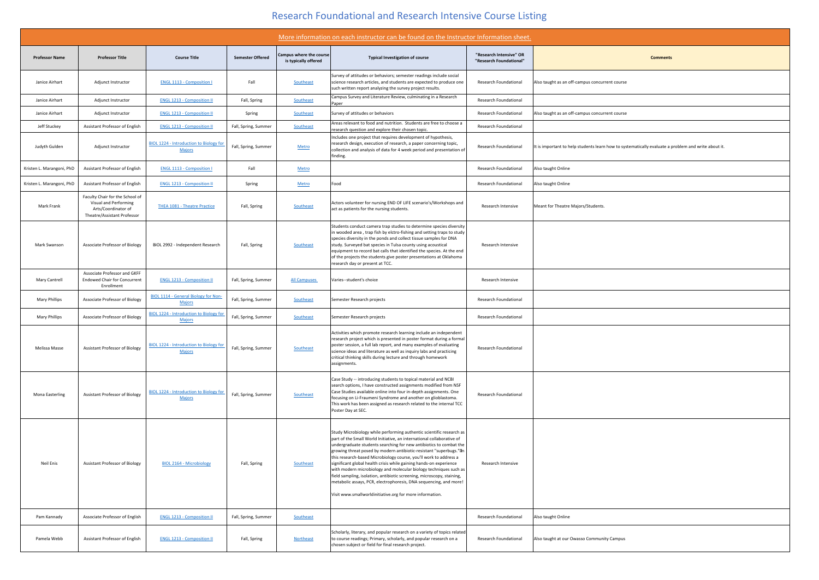## Research Foundational and Research Intensive Course Listing

|                                                 | More information on each instructor can be found on the Instructor Information sheet.                                                                                                                                                                                                                                                                                                                                                                                                                                                                                                                                                                                                                                |                                                    |                                                                                                     |
|-------------------------------------------------|----------------------------------------------------------------------------------------------------------------------------------------------------------------------------------------------------------------------------------------------------------------------------------------------------------------------------------------------------------------------------------------------------------------------------------------------------------------------------------------------------------------------------------------------------------------------------------------------------------------------------------------------------------------------------------------------------------------------|----------------------------------------------------|-----------------------------------------------------------------------------------------------------|
| Campus where the course<br>is typically offered | <b>Typical Investigation of course</b>                                                                                                                                                                                                                                                                                                                                                                                                                                                                                                                                                                                                                                                                               | "Research Intensive" OR<br>"Research Foundational" | <b>Comments</b>                                                                                     |
| Southeast                                       | Survey of attitudes or behaviors; semester readings include social<br>science research articles, and students are expected to produce one<br>such written report analyzing the survey project results.                                                                                                                                                                                                                                                                                                                                                                                                                                                                                                               | <b>Research Foundational</b>                       | Also taught as an off-campus concurrent course                                                      |
| Southeast                                       | Campus Survey and Literature Review, culminating in a Research<br>Paper                                                                                                                                                                                                                                                                                                                                                                                                                                                                                                                                                                                                                                              | <b>Research Foundational</b>                       |                                                                                                     |
| Southeast                                       | Survey of attitudes or behaviors                                                                                                                                                                                                                                                                                                                                                                                                                                                                                                                                                                                                                                                                                     | <b>Research Foundational</b>                       | Also taught as an off-campus concurrent course                                                      |
| Southeast                                       | Areas relevant to food and nutrition. Students are free to choose a<br>research question and explore their chosen topic.                                                                                                                                                                                                                                                                                                                                                                                                                                                                                                                                                                                             | <b>Research Foundational</b>                       |                                                                                                     |
| Metro                                           | Includes one project that requires development of hypothesis,<br>research design, execution of research, a paper concerning topic,<br>collection and analysis of data for 4 week period and presentation of<br>finding.                                                                                                                                                                                                                                                                                                                                                                                                                                                                                              | <b>Research Foundational</b>                       | It is important to help students learn how to systematically evaluate a problem and write about it. |
| Metro                                           |                                                                                                                                                                                                                                                                                                                                                                                                                                                                                                                                                                                                                                                                                                                      | <b>Research Foundational</b>                       | Also taught Online                                                                                  |
| <b>Metro</b>                                    | Food                                                                                                                                                                                                                                                                                                                                                                                                                                                                                                                                                                                                                                                                                                                 | <b>Research Foundational</b>                       | Also taught Online                                                                                  |
| Southeast                                       | Actors volunteer for nursing END OF LIFE scenario's/Workshops and<br>act as patients for the nursing students.                                                                                                                                                                                                                                                                                                                                                                                                                                                                                                                                                                                                       | Research Intensive                                 | Meant for Theatre Majors/Students.                                                                  |
| Southeast                                       | Students conduct camera trap studies to determine species diversity<br>in wooded area, trap fish by elctro-fishing and setting traps to study<br>species diversity in the ponds and collect tissue samples for DNA<br>study. Surveyed bat species in Tulsa county using acoustical<br>equipment to record bat calls that identified the species. At the end<br>of the projects the students give poster presentations at Oklahoma<br>research day or present at TCC.                                                                                                                                                                                                                                                 | Research Intensive                                 |                                                                                                     |
| <b>All Campuses</b>                             | Varies--student's choice                                                                                                                                                                                                                                                                                                                                                                                                                                                                                                                                                                                                                                                                                             | Research Intensive                                 |                                                                                                     |
| Southeast                                       | Semester Research projects                                                                                                                                                                                                                                                                                                                                                                                                                                                                                                                                                                                                                                                                                           | <b>Research Foundational</b>                       |                                                                                                     |
| Southeast                                       | Semester Research projects                                                                                                                                                                                                                                                                                                                                                                                                                                                                                                                                                                                                                                                                                           | <b>Research Foundational</b>                       |                                                                                                     |
| Southeast                                       | Activities which promote research learning include an independent<br>research project which is presented in poster format during a formal<br>poster session, a full lab report, and many examples of evaluating<br>science ideas and literature as well as inquiry labs and practicing<br>critical thinking skills during lecture and through homework<br>assignments.                                                                                                                                                                                                                                                                                                                                               | <b>Research Foundational</b>                       |                                                                                                     |
| Southeast                                       | Case Study -- introducing students to topical material and NCBI<br>search options, I have constructed assignments modified from NSF<br>Case Studies available online into four in-depth assignments. One<br>focusing on Li-Fraumeni Syndrome and another on glioblastoma.<br>This work has been assigned as research related to the internal TCC<br>Poster Day at SEC.                                                                                                                                                                                                                                                                                                                                               | <b>Research Foundational</b>                       |                                                                                                     |
| Southeast                                       | Study Microbiology while performing authentic scientific research as<br>part of the Small World Initiative, an international collaborative of<br>undergraduate students searching for new antibiotics to combat the<br>growing threat posed by modern antibiotic-resistant "superbugs."an<br>this research-based Microbiology course, you'll work to address a<br>significant global health crisis while gaining hands-on experience<br>with modern microbiology and molecular biology techniques such as<br>field sampling, isolation, antibiotic screening, microscopy, staining,<br>metabolic assays, PCR, electrophoresis, DNA sequencing, and more!<br>Visit www.smallworldinitiative.org for more information. | Research Intensive                                 |                                                                                                     |
| Southeast                                       |                                                                                                                                                                                                                                                                                                                                                                                                                                                                                                                                                                                                                                                                                                                      | <b>Research Foundational</b>                       | Also taught Online                                                                                  |
| <b>Northeast</b>                                | Scholarly, literary, and popular research on a variety of topics related<br>to course readings; Primary, scholarly, and popular research on a<br>chosen subject or field for final research project.                                                                                                                                                                                                                                                                                                                                                                                                                                                                                                                 | <b>Research Foundational</b>                       | Also taught at our Owasso Community Campus                                                          |

|                           |                                                                                                                |                                                                 |                         |                                                        | More information on each instructor can be found on the Instructor Information sheet.                                                                                                                                                                                                                                                                                                                                                                                                                                                                                                                                                                                                                                 |                                                    |                                                   |
|---------------------------|----------------------------------------------------------------------------------------------------------------|-----------------------------------------------------------------|-------------------------|--------------------------------------------------------|-----------------------------------------------------------------------------------------------------------------------------------------------------------------------------------------------------------------------------------------------------------------------------------------------------------------------------------------------------------------------------------------------------------------------------------------------------------------------------------------------------------------------------------------------------------------------------------------------------------------------------------------------------------------------------------------------------------------------|----------------------------------------------------|---------------------------------------------------|
| <b>Professor Name</b>     | <b>Professor Title</b>                                                                                         | <b>Course Title</b>                                             | <b>Semester Offered</b> | <b>Campus where the course</b><br>is typically offered | <b>Typical Investigation of course</b>                                                                                                                                                                                                                                                                                                                                                                                                                                                                                                                                                                                                                                                                                | "Research Intensive" OR<br>"Research Foundational" |                                                   |
| Janice Airhart            | Adjunct Instructor                                                                                             | <b>ENGL 1113 - Composition I</b>                                | Fall                    | Southeast                                              | Survey of attitudes or behaviors; semester readings include social<br>science research articles, and students are expected to produce one<br>such written report analyzing the survey project results.                                                                                                                                                                                                                                                                                                                                                                                                                                                                                                                | <b>Research Foundational</b>                       | Also taught as an off-campus concurrent course    |
| Janice Airhart            | Adjunct Instructor                                                                                             | <b>ENGL 1213 - Composition II</b>                               | Fall, Spring            | Southeast                                              | Campus Survey and Literature Review, culminating in a Research<br>Paper                                                                                                                                                                                                                                                                                                                                                                                                                                                                                                                                                                                                                                               | <b>Research Foundational</b>                       |                                                   |
| Janice Airhart            | Adjunct Instructor                                                                                             | <b>ENGL 1213 - Composition II</b>                               | Spring                  | Southeast                                              | Survey of attitudes or behaviors                                                                                                                                                                                                                                                                                                                                                                                                                                                                                                                                                                                                                                                                                      | <b>Research Foundational</b>                       | Also taught as an off-campus concurrent course    |
| Jeff Stuckey              | <b>Assistant Professor of English</b>                                                                          | <b>ENGL 1213 - Composition II</b>                               | Fall, Spring, Summer    | Southeast                                              | Areas relevant to food and nutrition. Students are free to choose a<br>research question and explore their chosen topic.                                                                                                                                                                                                                                                                                                                                                                                                                                                                                                                                                                                              | <b>Research Foundational</b>                       |                                                   |
| Judyth Gulden             | Adjunct Instructor                                                                                             | <b>BIOL 1224 - Introduction to Biology for</b><br><b>Majors</b> | Fall, Spring, Summer    | Metro                                                  | Includes one project that requires development of hypothesis,<br>research design, execution of research, a paper concerning topic,<br>collection and analysis of data for 4 week period and presentation of<br>finding.                                                                                                                                                                                                                                                                                                                                                                                                                                                                                               | <b>Research Foundational</b>                       | It is important to help students learn how to sys |
| Kristen L. Marangoni, PhD | Assistant Professor of English                                                                                 | <b>ENGL 1113 - Composition I</b>                                | Fall                    | Metro                                                  |                                                                                                                                                                                                                                                                                                                                                                                                                                                                                                                                                                                                                                                                                                                       | <b>Research Foundational</b>                       | Also taught Online                                |
| Kristen L. Marangoni, PhD | <b>Assistant Professor of English</b>                                                                          | <b>ENGL 1213 - Composition II</b>                               | Spring                  | <b>Metro</b>                                           | Food                                                                                                                                                                                                                                                                                                                                                                                                                                                                                                                                                                                                                                                                                                                  | <b>Research Foundational</b>                       | Also taught Online                                |
| Mark Frank                | Faculty Chair for the School of<br>Visual and Performing<br>Arts/Coordinator of<br>Theatre/Assistant Professor | THEA 1081 - Theatre Practice                                    | Fall, Spring            | Southeast                                              | Actors volunteer for nursing END OF LIFE scenario's/Workshops and<br>act as patients for the nursing students.                                                                                                                                                                                                                                                                                                                                                                                                                                                                                                                                                                                                        | Research Intensive                                 | Meant for Theatre Majors/Students.                |
| Mark Swanson              | <b>Associate Professor of Biology</b>                                                                          | BIOL 2992 - Independent Research                                | Fall, Spring            | Southeast                                              | Students conduct camera trap studies to determine species diversity<br>in wooded area, trap fish by elctro-fishing and setting traps to study<br>species diversity in the ponds and collect tissue samples for DNA<br>study. Surveyed bat species in Tulsa county using acoustical<br>equipment to record bat calls that identified the species. At the end<br>of the projects the students give poster presentations at Oklahoma<br>research day or present at TCC.                                                                                                                                                                                                                                                  | Research Intensive                                 |                                                   |
| Mary Cantrell             | Associate Professor and GKFF<br><b>Endowed Chair for Concurrent</b><br>Enrollment                              | <b>ENGL 1213 - Composition II</b>                               | Fall, Spring, Summer    | All Campuses                                           | Varies--student's choice                                                                                                                                                                                                                                                                                                                                                                                                                                                                                                                                                                                                                                                                                              | Research Intensive                                 |                                                   |
| <b>Mary Phillips</b>      | <b>Associate Professor of Biology</b>                                                                          | <b>BIOL 1114 - General Biology for Non-</b><br><b>Majors</b>    | Fall, Spring, Summer    | Southeast                                              | Semester Research projects                                                                                                                                                                                                                                                                                                                                                                                                                                                                                                                                                                                                                                                                                            | <b>Research Foundational</b>                       |                                                   |
| <b>Mary Phillips</b>      | <b>Associate Professor of Biology</b>                                                                          | <b>BIOL 1224 - Introduction to Biology for</b><br><b>Majors</b> | Fall, Spring, Summer    | Southeast                                              | Semester Research projects                                                                                                                                                                                                                                                                                                                                                                                                                                                                                                                                                                                                                                                                                            | <b>Research Foundational</b>                       |                                                   |
| Melissa Masse             | <b>Assistant Professor of Biology</b>                                                                          | BIOL 1224 - Introduction to Biology for<br><b>Majors</b>        | Fall, Spring, Summer    | Southeast                                              | Activities which promote research learning include an independent<br>research project which is presented in poster format during a formal<br>poster session, a full lab report, and many examples of evaluating<br>science ideas and literature as well as inquiry labs and practicing<br>critical thinking skills during lecture and through homework<br>assignments.                                                                                                                                                                                                                                                                                                                                                | <b>Research Foundational</b>                       |                                                   |
| Mona Easterling           | <b>Assistant Professor of Biology</b>                                                                          | <b>BIOL 1224 - Introduction to Biology for</b><br><b>Majors</b> | Fall, Spring, Summer    | Southeast                                              | Case Study -- introducing students to topical material and NCBI<br>search options, I have constructed assignments modified from NSF<br>Case Studies available online into four in-depth assignments. One<br>focusing on Li-Fraumeni Syndrome and another on glioblastoma.<br>This work has been assigned as research related to the internal TCC<br>Poster Day at SEC.                                                                                                                                                                                                                                                                                                                                                | <b>Research Foundational</b>                       |                                                   |
| Neil Enis                 | <b>Assistant Professor of Biology</b>                                                                          | <b>BIOL 2164 - Microbiology</b>                                 | Fall, Spring            | Southeast                                              | Study Microbiology while performing authentic scientific research as<br>part of the Small World Initiative, an international collaborative of<br>undergraduate students searching for new antibiotics to combat the<br>growing threat posed by modern antibiotic-resistant "superbugs." an<br>this research-based Microbiology course, you'll work to address a<br>significant global health crisis while gaining hands-on experience<br>with modern microbiology and molecular biology techniques such as<br>field sampling, isolation, antibiotic screening, microscopy, staining,<br>metabolic assays, PCR, electrophoresis, DNA sequencing, and more!<br>Visit www.smallworldinitiative.org for more information. | Research Intensive                                 |                                                   |
| Pam Kannady               | <b>Associate Professor of English</b>                                                                          | <b>ENGL 1213 - Composition II</b>                               | Fall, Spring, Summer    | Southeast                                              |                                                                                                                                                                                                                                                                                                                                                                                                                                                                                                                                                                                                                                                                                                                       | <b>Research Foundational</b>                       | Also taught Online                                |
| Pamela Webb               | <b>Assistant Professor of English</b>                                                                          | <b>ENGL 1213 - Composition II</b>                               | Fall, Spring            | <b>Northeast</b>                                       | Scholarly, literary, and popular research on a variety of topics related<br>to course readings; Primary, scholarly, and popular research on a<br>chosen subject or field for final research project.                                                                                                                                                                                                                                                                                                                                                                                                                                                                                                                  | <b>Research Foundational</b>                       | Also taught at our Owasso Community Campus        |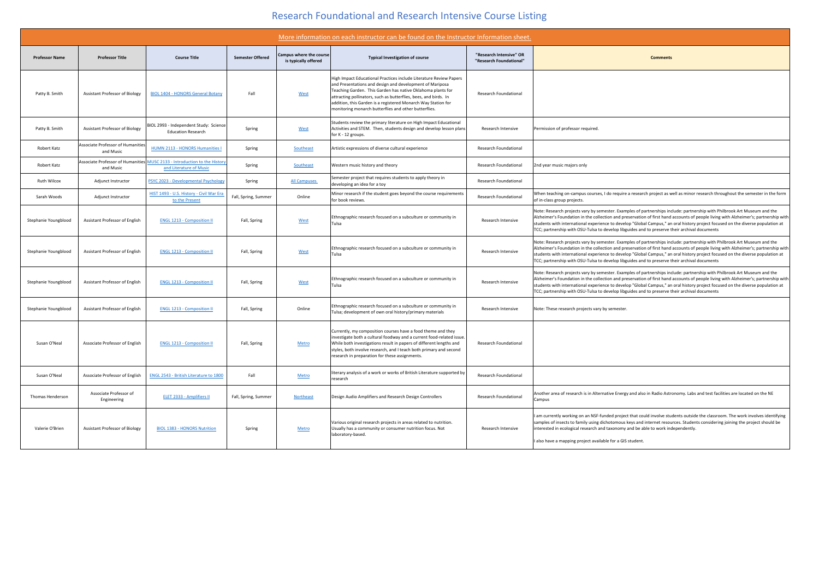## Research Foundational and Research Intensive Course Listing

| More information on each instructor can be found on the Instructor Information sheet. |                                                       |                                                                                                             |                         |                                                        |                                                                                                                                                                                                                                                                                                                                                                                             |                                                    |                                                                                                                                                                                                                                                                                                                                                                                                                                                                                                      |
|---------------------------------------------------------------------------------------|-------------------------------------------------------|-------------------------------------------------------------------------------------------------------------|-------------------------|--------------------------------------------------------|---------------------------------------------------------------------------------------------------------------------------------------------------------------------------------------------------------------------------------------------------------------------------------------------------------------------------------------------------------------------------------------------|----------------------------------------------------|------------------------------------------------------------------------------------------------------------------------------------------------------------------------------------------------------------------------------------------------------------------------------------------------------------------------------------------------------------------------------------------------------------------------------------------------------------------------------------------------------|
| <b>Professor Name</b>                                                                 | <b>Professor Title</b>                                | <b>Course Title</b>                                                                                         | <b>Semester Offered</b> | <b>Campus where the course</b><br>is typically offered | <b>Typical Investigation of course</b>                                                                                                                                                                                                                                                                                                                                                      | "Research Intensive" OR<br>"Research Foundational" | <b>Comments</b>                                                                                                                                                                                                                                                                                                                                                                                                                                                                                      |
| Patty B. Smith                                                                        | <b>Assistant Professor of Biology</b>                 | <b>BIOL 1404 - HONORS General Botany</b>                                                                    | Fall                    | West                                                   | High Impact Educational Practices include Literature Review Papers<br>and Presentations and design and development of Mariposa<br>Teaching Garden. This Garden has native Oklahoma plants for<br>attracting pollinators, such as butterflies, bees, and birds. In<br>addition, this Garden is a registered Monarch Way Station for<br>monitoring monarch butterflies and other butterflies. | <b>Research Foundational</b>                       |                                                                                                                                                                                                                                                                                                                                                                                                                                                                                                      |
| Patty B. Smith                                                                        | <b>Assistant Professor of Biology</b>                 | BIOL 2993 - Independent Study: Science<br><b>Education Research</b>                                         | Spring                  | West                                                   | Students review the primary literature on High Impact Educational<br>Activities and STEM. Then, students design and develop lesson plans<br>for K - 12 groups.                                                                                                                                                                                                                              | Research Intensive                                 | Permission of professor required                                                                                                                                                                                                                                                                                                                                                                                                                                                                     |
| <b>Robert Katz</b>                                                                    | <b>Associate Professor of Humanities</b><br>and Music | <b>HUMN 2113 - HONORS Humanities I</b>                                                                      | Spring                  | Southeast                                              | Artistic expressions of diverse cultural experience                                                                                                                                                                                                                                                                                                                                         | <b>Research Foundational</b>                       |                                                                                                                                                                                                                                                                                                                                                                                                                                                                                                      |
| Robert Katz                                                                           | and Music                                             | Associate Professor of Humanities MUSC 2133 - Introduction to the History<br><b>and Literature of Music</b> | Spring                  | Southeast                                              | Western music history and theory                                                                                                                                                                                                                                                                                                                                                            | <b>Research Foundational</b>                       | 2nd year music majors only                                                                                                                                                                                                                                                                                                                                                                                                                                                                           |
| <b>Ruth Wilcox</b>                                                                    | Adjunct Instructor                                    | PSYC 2023 - Developmental Psychology                                                                        | Spring                  | <b>All Campuses</b>                                    | Semester project that requires students to apply theory in<br>developing an idea for a toy                                                                                                                                                                                                                                                                                                  | <b>Research Foundational</b>                       |                                                                                                                                                                                                                                                                                                                                                                                                                                                                                                      |
| Sarah Woods                                                                           | Adjunct Instructor                                    | HIST 1493 - U.S. History - Civil War Era<br>to the Present                                                  | Fall, Spring, Summer    | Online                                                 | Minor research if the student goes beyond the course requirements<br>for book reviews.                                                                                                                                                                                                                                                                                                      | <b>Research Foundational</b>                       | When teaching on-campus courses, I do require a research project as well as minor research throughout the semester in the form<br>of in-class group projects.                                                                                                                                                                                                                                                                                                                                        |
| Stephanie Youngblood                                                                  | <b>Assistant Professor of English</b>                 | <b>ENGL 1213 - Composition II</b>                                                                           | Fall, Spring            | West                                                   | Ethnographic research focused on a subculture or community in<br><b>Tulsa</b>                                                                                                                                                                                                                                                                                                               | Research Intensive                                 | Note: Research projects vary by semester. Examples of partnerships include: partnership with Philbrook Art Museum and the<br>Alzheimer's Foundation in the collection and preservation of first hand accounts of people living with Alzheimer's; partnership wit<br>students with international experience to develop "Global Campus," an oral history project focused on the diverse population at<br>TCC; partnership with OSU-Tulsa to develop libguides and to preserve their archival documents |
| Stephanie Youngblood                                                                  | <b>Assistant Professor of English</b>                 | <b>ENGL 1213 - Composition II</b>                                                                           | Fall, Spring            | West                                                   | Ethnographic research focused on a subculture or community in<br>Tulsa                                                                                                                                                                                                                                                                                                                      | Research Intensive                                 | Note: Research projects vary by semester. Examples of partnerships include: partnership with Philbrook Art Museum and the<br>Alzheimer's Foundation in the collection and preservation of first hand accounts of people living with Alzheimer's; partnership wit<br>students with international experience to develop "Global Campus," an oral history project focused on the diverse population at<br>TCC; partnership with OSU-Tulsa to develop libguides and to preserve their archival documents |
| Stephanie Youngblood                                                                  | <b>Assistant Professor of English</b>                 | <b>ENGL 1213 - Composition II</b>                                                                           | Fall, Spring            | West                                                   | Ethnographic research focused on a subculture or community in<br><b>Tulsa</b>                                                                                                                                                                                                                                                                                                               | Research Intensive                                 | Note: Research projects vary by semester. Examples of partnerships include: partnership with Philbrook Art Museum and the<br>Alzheimer's Foundation in the collection and preservation of first hand accounts of people living with Alzheimer's; partnership wit<br>students with international experience to develop "Global Campus," an oral history project focused on the diverse population at<br>TCC; partnership with OSU-Tulsa to develop libguides and to preserve their archival documents |
| Stephanie Youngblood                                                                  | <b>Assistant Professor of English</b>                 | <b>ENGL 1213 - Composition II</b>                                                                           | Fall, Spring            | Online                                                 | Ethnographic research focused on a subculture or community in<br>Tulsa; development of own oral history/primary materials                                                                                                                                                                                                                                                                   | Research Intensive                                 | Note: These research projects vary by semester.                                                                                                                                                                                                                                                                                                                                                                                                                                                      |
| Susan O'Neal                                                                          | Associate Professor of English                        | <b>ENGL 1213 - Composition II</b>                                                                           | Fall, Spring            | Metro                                                  | Currently, my composition courses have a food theme and they<br>investigate both a cultural foodway and a current food-related issue.<br>While both investigations result in papers of different lengths and<br>styles, both involve research, and I teach both primary and second<br>research in preparation for these assignments.                                                        | <b>Research Foundational</b>                       |                                                                                                                                                                                                                                                                                                                                                                                                                                                                                                      |
| Susan O'Neal                                                                          | Associate Professor of English                        | ENGL 2543 - British Literature to 1800                                                                      | Fall                    | Metro                                                  | literary analysis of a work or works of British Literature supported by<br><b>research</b>                                                                                                                                                                                                                                                                                                  | <b>Research Foundational</b>                       |                                                                                                                                                                                                                                                                                                                                                                                                                                                                                                      |
| Thomas Henderson                                                                      | Associate Professor of<br>Engineering                 | <b>ELET 2333 - Amplifiers II</b>                                                                            | Fall, Spring, Summer    | <b>Northeast</b>                                       | Design Audio Amplifiers and Research Design Controllers                                                                                                                                                                                                                                                                                                                                     | <b>Research Foundational</b>                       | Another area of research is in Alternative Energy and also in Radio Astronomy. Labs and test facilities are located on the NE<br><b>Campus</b>                                                                                                                                                                                                                                                                                                                                                       |
| Valerie O'Brien                                                                       | <b>Assistant Professor of Biology</b>                 | <b>BIOL 1383 - HONORS Nutrition</b>                                                                         | Spring                  | Metro                                                  | Various original research projects in areas related to nutrition.<br>Usually has a community or consumer nutrition focus. Not<br>laboratory-based.                                                                                                                                                                                                                                          | Research Intensive                                 | I am currently working on an NSF-funded project that could involve students outside the classroom. The work involves identifying<br>samples of insects to family using dichotomous keys and internet resources. Students considering joining the project should be<br>interested in ecological research and taxonomy and be able to work independently.<br>I also have a mapping project available for a GIS student.                                                                                |